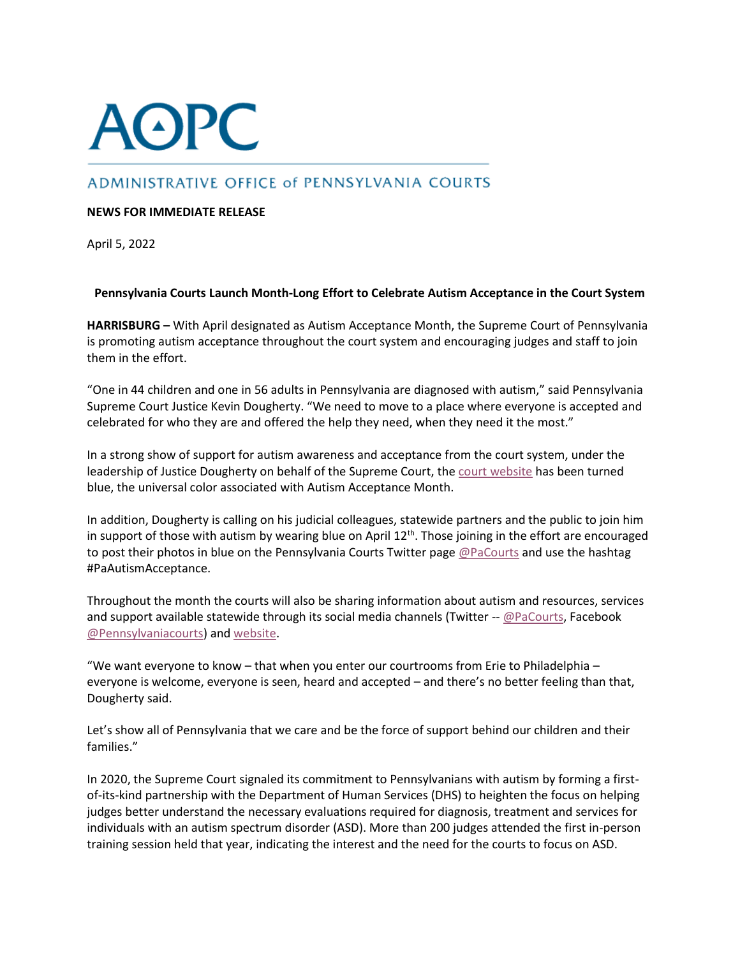## **AOPC**

## ADMINISTRATIVE OFFICE of PENNSYLVANIA COURTS

## **NEWS FOR IMMEDIATE RELEASE**

April 5, 2022

## **Pennsylvania Courts Launch Month-Long Effort to Celebrate Autism Acceptance in the Court System**

**HARRISBURG –** With April designated as Autism Acceptance Month, the Supreme Court of Pennsylvania is promoting autism acceptance throughout the court system and encouraging judges and staff to join them in the effort.

"One in 44 children and one in 56 adults in Pennsylvania are diagnosed with autism," said Pennsylvania Supreme Court Justice Kevin Dougherty. "We need to move to a place where everyone is accepted and celebrated for who they are and offered the help they need, when they need it the most."

In a strong show of support for autism awareness and acceptance from the court system, under the leadership of Justice Dougherty on behalf of the Supreme Court, the [court website](https://www.pacourts.us/) has been turned blue, the universal color associated with Autism Acceptance Month.

In addition, Dougherty is calling on his judicial colleagues, statewide partners and the public to join him in support of those with autism by wearing blue on April  $12^{th}$ . Those joining in the effort are encouraged to post their photos in blue on the Pennsylvania Courts Twitter page [@PaCourts](https://twitter.com/home) and use the hashtag #PaAutismAcceptance.

Throughout the month the courts will also be sharing information about autism and resources, services and support available statewide through its social media channels (Twitter -- [@PaCourts,](https://twitter.com/PACourts) Facebook [@Pennsylvaniacourts\)](https://www.facebook.com/pennsylvaniacourts/) and [website.](https://www.pacourts.us/learn/autism-and-the-courts)

"We want everyone to know – that when you enter our courtrooms from Erie to Philadelphia – everyone is welcome, everyone is seen, heard and accepted – and there's no better feeling than that, Dougherty said.

Let's show all of Pennsylvania that we care and be the force of support behind our children and their families."

In 2020, the Supreme Court signaled its commitment to Pennsylvanians with autism by forming a firstof-its-kind partnership with the Department of Human Services (DHS) to heighten the focus on helping judges better understand the necessary evaluations required for diagnosis, treatment and services for individuals with an autism spectrum disorder (ASD). More than 200 judges attended the first in-person training session held that year, indicating the interest and the need for the courts to focus on ASD.